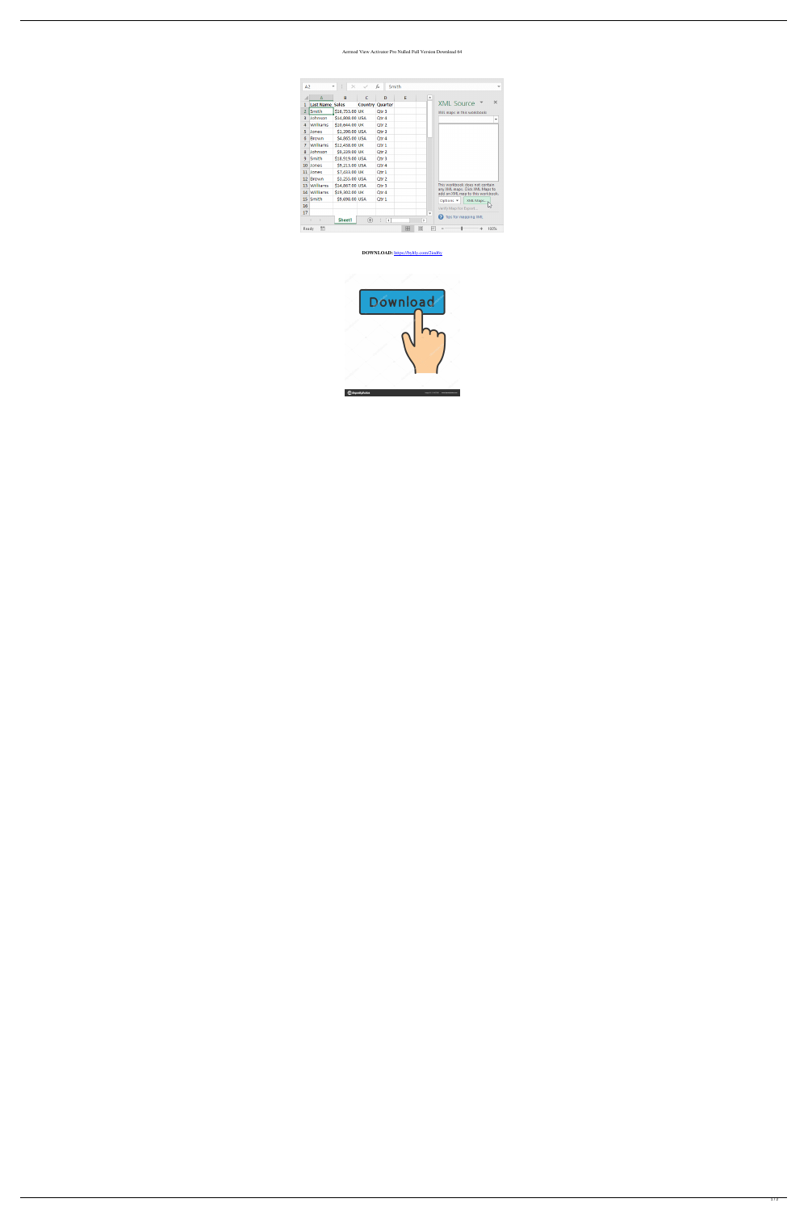## Aermod View Activator Pro Nulled Full Version Download 64

| A2                                     |                        | ÷<br>$\times$   |                        | fx<br>Smith          |   |              |                          | v                                                                   |
|----------------------------------------|------------------------|-----------------|------------------------|----------------------|---|--------------|--------------------------|---------------------------------------------------------------------|
|                                        | A                      | B               | C                      | D                    | E |              | ┻                        |                                                                     |
| 1                                      | <b>Last Name Sales</b> |                 | <b>Country Quarter</b> |                      |   |              |                          | ×<br><b>XML Source</b>                                              |
| 2                                      | Smith                  | \$16,753.00 UK  |                        | Otr 3                |   |              |                          | XML maps in this workbook:                                          |
| з                                      | Johnson                | \$14,808.00 USA |                        | Otr 4                |   |              |                          | ▼                                                                   |
| 4                                      | Williams               | \$10,644.00 UK  |                        | Qtr 2                |   |              |                          |                                                                     |
| 5                                      | Jones                  | \$1,390.00 USA  |                        | Qtr 3                |   |              |                          |                                                                     |
| 6                                      | <b>Brown</b>           | \$4,865.00 USA  |                        | Qtr 4                |   |              |                          |                                                                     |
| 7                                      | Williams               | \$12,438.00 UK  |                        | Otr 1                |   |              |                          |                                                                     |
| 8                                      | Johnson                | \$9,339.00 UK   |                        | Otr <sub>2</sub>     |   |              |                          |                                                                     |
| 9.                                     | Smith                  | \$18,919.00 USA |                        | Qtr <sub>3</sub>     |   |              |                          |                                                                     |
| 10                                     | <b>Jones</b>           | \$9,213.00 USA  |                        | Qtr 4                |   |              |                          |                                                                     |
| 11                                     | Jones                  | \$7,433.00 UK   |                        | Qtr 1                |   |              |                          |                                                                     |
| 12                                     | Brown                  | \$3,255.00 USA  |                        | Otr <sub>2</sub>     |   |              |                          |                                                                     |
| 13                                     | <b>Williams</b>        | \$14,867.00 USA |                        | Qtr 3                |   |              |                          | This workbook does not contain                                      |
| 14                                     | Williams               | \$19,302.00 UK  |                        | Otr <sub>4</sub>     |   |              |                          | any XML maps. Click XML Maps to<br>add an XML map to this workbook. |
| 15                                     | Smith                  | \$9,698.00 USA  |                        | Otr 1                |   |              |                          | Options $\blacktriangledown$<br>XML Maps                            |
| 16                                     |                        |                 |                        |                      |   |              |                          | μs<br>Verify Map for Export                                         |
| 17                                     |                        |                 |                        |                      |   |              | $\overline{\phantom{a}}$ |                                                                     |
|                                        | ь                      | Sheet1          | ⊕                      | $\blacktriangleleft$ |   | $\mathbb{P}$ |                          | <sup>2</sup> Tips for mapping XML                                   |
| 囲<br>雷<br>匹<br>圓<br>100%<br>Ready<br>÷ |                        |                 |                        |                      |   |              |                          |                                                                     |

## DOWNLOAD: https://byltly.com/2iod6y